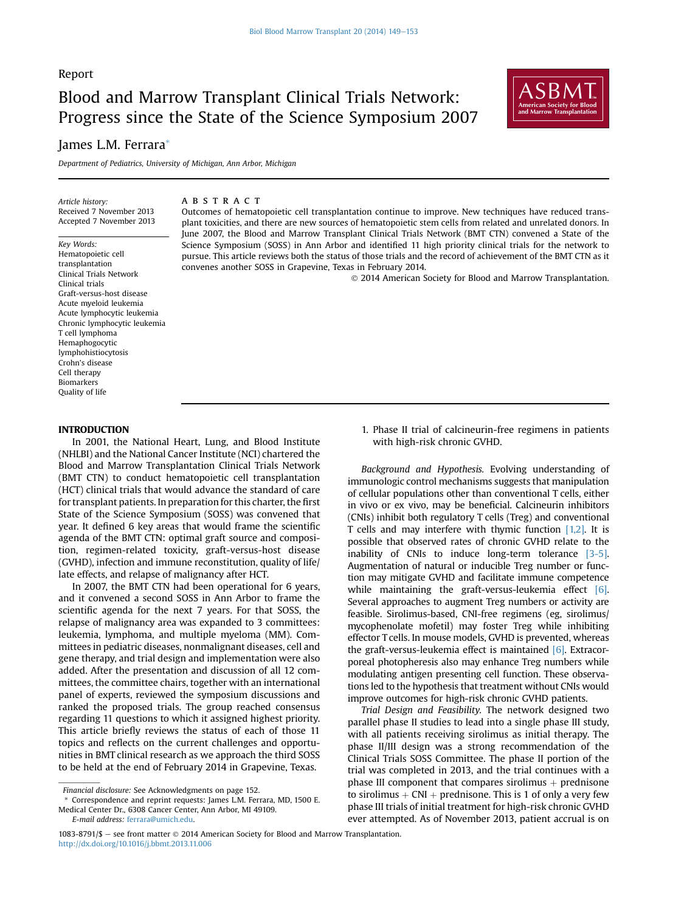## Report

# Blood and Marrow Transplant Clinical Trials Network: Progress since the State of the Science Symposium 2007



## James L.M. Ferrara\*

Department of Pediatrics, University of Michigan, Ann Arbor, Michigan

Article history: Received 7 November 2013 Accepted 7 November 2013

Key Words: Hematopoietic cell transplantation Clinical Trials Network Clinical trials Graft-versus-host disease Acute myeloid leukemia Acute lymphocytic leukemia Chronic lymphocytic leukemia T cell lymphoma Hemaphogocytic lymphohistiocytosis Crohn's disease Cell therapy Biomarkers Quality of life

## INTRODUCTION

In 2001, the National Heart, Lung, and Blood Institute (NHLBI) and the National Cancer Institute (NCI) chartered the Blood and Marrow Transplantation Clinical Trials Network (BMT CTN) to conduct hematopoietic cell transplantation (HCT) clinical trials that would advance the standard of care for transplant patients. In preparation for this charter, the first State of the Science Symposium (SOSS) was convened that year. It defined 6 key areas that would frame the scientific agenda of the BMT CTN: optimal graft source and composition, regimen-related toxicity, graft-versus-host disease (GVHD), infection and immune reconstitution, quality of life/ late effects, and relapse of malignancy after HCT.

In 2007, the BMT CTN had been operational for 6 years, and it convened a second SOSS in Ann Arbor to frame the scientific agenda for the next 7 years. For that SOSS, the relapse of malignancy area was expanded to 3 committees: leukemia, lymphoma, and multiple myeloma (MM). Committees in pediatric diseases, nonmalignant diseases, cell and gene therapy, and trial design and implementation were also added. After the presentation and discussion of all 12 committees, the committee chairs, together with an international panel of experts, reviewed the symposium discussions and ranked the proposed trials. The group reached consensus regarding 11 questions to which it assigned highest priority. This article briefly reviews the status of each of those 11 topics and reflects on the current challenges and opportunities in BMT clinical research as we approach the third SOSS to be held at the end of February 2014 in Grapevine, Texas.

Correspondence and reprint requests: James L.M. Ferrara, MD, 1500 E. Medical Center Dr., 6308 Cancer Center, Ann Arbor, MI 49109. E-mail address: [ferrara@umich.edu.](mailto:ferrara@umich.edu)

#### **ABSTRACT**

Outcomes of hematopoietic cell transplantation continue to improve. New techniques have reduced transplant toxicities, and there are new sources of hematopoietic stem cells from related and unrelated donors. In June 2007, the Blood and Marrow Transplant Clinical Trials Network (BMT CTN) convened a State of the Science Symposium (SOSS) in Ann Arbor and identified 11 high priority clinical trials for the network to pursue. This article reviews both the status of those trials and the record of achievement of the BMT CTN as it convenes another SOSS in Grapevine, Texas in February 2014.

2014 American Society for Blood and Marrow Transplantation.

1. Phase II trial of calcineurin-free regimens in patients with high-risk chronic GVHD.

Background and Hypothesis. Evolving understanding of immunologic control mechanisms suggests that manipulation of cellular populations other than conventional T cells, either in vivo or ex vivo, may be beneficial. Calcineurin inhibitors (CNIs) inhibit both regulatory T cells (Treg) and conventional T cells and may interfere with thymic function  $[1,2]$ . It is possible that observed rates of chronic GVHD relate to the inability of CNIs to induce long-term tolerance [\[3-5\]](#page-3-0). Augmentation of natural or inducible Treg number or function may mitigate GVHD and facilitate immune competence while maintaining the graft-versus-leukemia effect [\[6\]](#page-3-0). Several approaches to augment Treg numbers or activity are feasible. Sirolimus-based, CNI-free regimens (eg, sirolimus/ mycophenolate mofetil) may foster Treg while inhibiting effector T cells. In mouse models, GVHD is prevented, whereas the graft-versus-leukemia effect is maintained [\[6\]](#page-3-0). Extracorporeal photopheresis also may enhance Treg numbers while modulating antigen presenting cell function. These observations led to the hypothesis that treatment without CNIs would improve outcomes for high-risk chronic GVHD patients.

Trial Design and Feasibility. The network designed two parallel phase II studies to lead into a single phase III study, with all patients receiving sirolimus as initial therapy. The phase II/III design was a strong recommendation of the Clinical Trials SOSS Committee. The phase II portion of the trial was completed in 2013, and the trial continues with a phase III component that compares sirolimus  $+$  prednisone to sirolimus  $+$  CNI  $+$  prednisone. This is 1 of only a very few phase III trials of initial treatment for high-risk chronic GVHD ever attempted. As of November 2013, patient accrual is on

Financial disclosure: See Acknowledgments on page 152.

 $1083-8791/\$$  - see front matter  $\degree$  2014 American Society for Blood and Marrow Transplantation. <http://dx.doi.org/10.1016/j.bbmt.2013.11.006>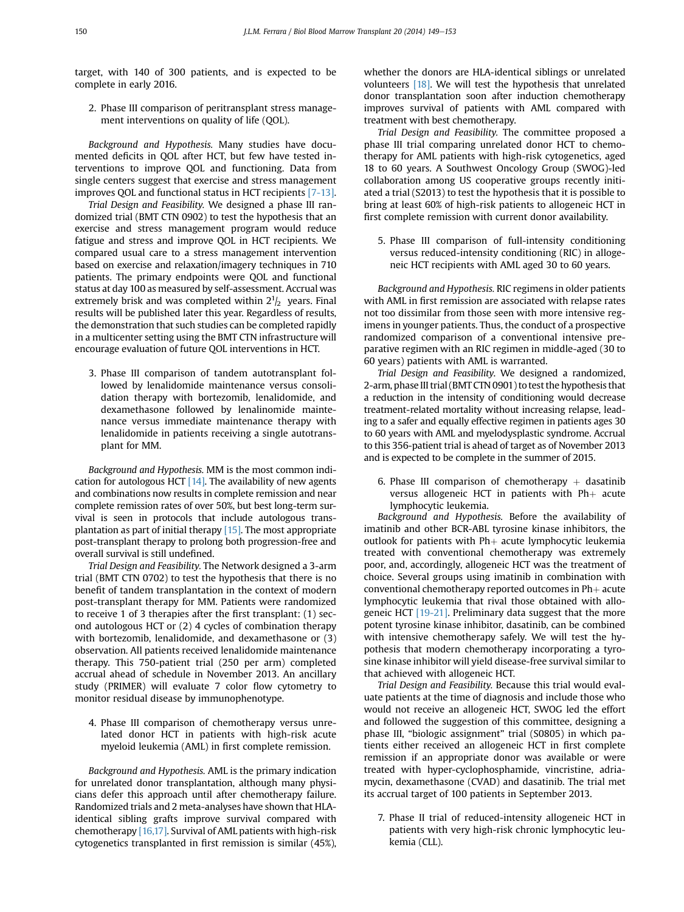target, with 140 of 300 patients, and is expected to be complete in early 2016.

2. Phase III comparison of peritransplant stress management interventions on quality of life (QOL).

Background and Hypothesis. Many studies have documented deficits in QOL after HCT, but few have tested interventions to improve QOL and functioning. Data from single centers suggest that exercise and stress management improves QOL and functional status in HCT recipients [\[7-13\]](#page-3-0).

Trial Design and Feasibility. We designed a phase III randomized trial (BMT CTN 0902) to test the hypothesis that an exercise and stress management program would reduce fatigue and stress and improve QOL in HCT recipients. We compared usual care to a stress management intervention based on exercise and relaxation/imagery techniques in 710 patients. The primary endpoints were QOL and functional status at day 100 as measured by self-assessment. Accrual was extremely brisk and was completed within  $2^{1}/_{2}$  years. Final results will be published later this year. Regardless of results, the demonstration that such studies can be completed rapidly in a multicenter setting using the BMT CTN infrastructure will encourage evaluation of future QOL interventions in HCT.

3. Phase III comparison of tandem autotransplant followed by lenalidomide maintenance versus consolidation therapy with bortezomib, lenalidomide, and dexamethasone followed by lenalinomide maintenance versus immediate maintenance therapy with lenalidomide in patients receiving a single autotransplant for MM.

Background and Hypothesis. MM is the most common indication for autologous HCT  $[14]$ . The availability of new agents and combinations now results in complete remission and near complete remission rates of over 50%, but best long-term survival is seen in protocols that include autologous transplantation as part of initial therapy [\[15\].](#page-3-0) The most appropriate post-transplant therapy to prolong both progression-free and overall survival is still undefined.

Trial Design and Feasibility. The Network designed a 3-arm trial (BMT CTN 0702) to test the hypothesis that there is no benefit of tandem transplantation in the context of modern post-transplant therapy for MM. Patients were randomized to receive 1 of 3 therapies after the first transplant: (1) second autologous HCT or (2) 4 cycles of combination therapy with bortezomib, lenalidomide, and dexamethasone or (3) observation. All patients received lenalidomide maintenance therapy. This 750-patient trial (250 per arm) completed accrual ahead of schedule in November 2013. An ancillary study (PRIMER) will evaluate 7 color flow cytometry to monitor residual disease by immunophenotype.

4. Phase III comparison of chemotherapy versus unrelated donor HCT in patients with high-risk acute myeloid leukemia (AML) in first complete remission.

Background and Hypothesis. AML is the primary indication for unrelated donor transplantation, although many physicians defer this approach until after chemotherapy failure. Randomized trials and 2 meta-analyses have shown that HLAidentical sibling grafts improve survival compared with chemotherapy [\[16,17\].](#page-3-0) Survival of AML patients with high-risk cytogenetics transplanted in first remission is similar (45%), whether the donors are HLA-identical siblings or unrelated volunteers [\[18\]](#page-3-0). We will test the hypothesis that unrelated donor transplantation soon after induction chemotherapy improves survival of patients with AML compared with treatment with best chemotherapy.

Trial Design and Feasibility. The committee proposed a phase III trial comparing unrelated donor HCT to chemotherapy for AML patients with high-risk cytogenetics, aged 18 to 60 years. A Southwest Oncology Group (SWOG)-led collaboration among US cooperative groups recently initiated a trial (S2013) to test the hypothesis that it is possible to bring at least 60% of high-risk patients to allogeneic HCT in first complete remission with current donor availability.

5. Phase III comparison of full-intensity conditioning versus reduced-intensity conditioning (RIC) in allogeneic HCT recipients with AML aged 30 to 60 years.

Background and Hypothesis. RIC regimens in older patients with AML in first remission are associated with relapse rates not too dissimilar from those seen with more intensive regimens in younger patients. Thus, the conduct of a prospective randomized comparison of a conventional intensive preparative regimen with an RIC regimen in middle-aged (30 to 60 years) patients with AML is warranted.

Trial Design and Feasibility. We designed a randomized, 2-arm, phase III trial (BMT CTN 0901) to test the hypothesis that a reduction in the intensity of conditioning would decrease treatment-related mortality without increasing relapse, leading to a safer and equally effective regimen in patients ages 30 to 60 years with AML and myelodysplastic syndrome. Accrual to this 356-patient trial is ahead of target as of November 2013 and is expected to be complete in the summer of 2015.

6. Phase III comparison of chemotherapy  $+$  dasatinib versus allogeneic HCT in patients with  $Ph+$  acute lymphocytic leukemia.

Background and Hypothesis. Before the availability of imatinib and other BCR-ABL tyrosine kinase inhibitors, the outlook for patients with  $Ph$  acute lymphocytic leukemia treated with conventional chemotherapy was extremely poor, and, accordingly, allogeneic HCT was the treatment of choice. Several groups using imatinib in combination with conventional chemotherapy reported outcomes in  $Ph+$  acute lymphocytic leukemia that rival those obtained with allogeneic HCT [\[19-21\].](#page-3-0) Preliminary data suggest that the more potent tyrosine kinase inhibitor, dasatinib, can be combined with intensive chemotherapy safely. We will test the hypothesis that modern chemotherapy incorporating a tyrosine kinase inhibitor will yield disease-free survival similar to that achieved with allogeneic HCT.

Trial Design and Feasibility. Because this trial would evaluate patients at the time of diagnosis and include those who would not receive an allogeneic HCT, SWOG led the effort and followed the suggestion of this committee, designing a phase III, "biologic assignment" trial (S0805) in which patients either received an allogeneic HCT in first complete remission if an appropriate donor was available or were treated with hyper-cyclophosphamide, vincristine, adriamycin, dexamethasone (CVAD) and dasatinib. The trial met its accrual target of 100 patients in September 2013.

7. Phase II trial of reduced-intensity allogeneic HCT in patients with very high-risk chronic lymphocytic leukemia (CLL).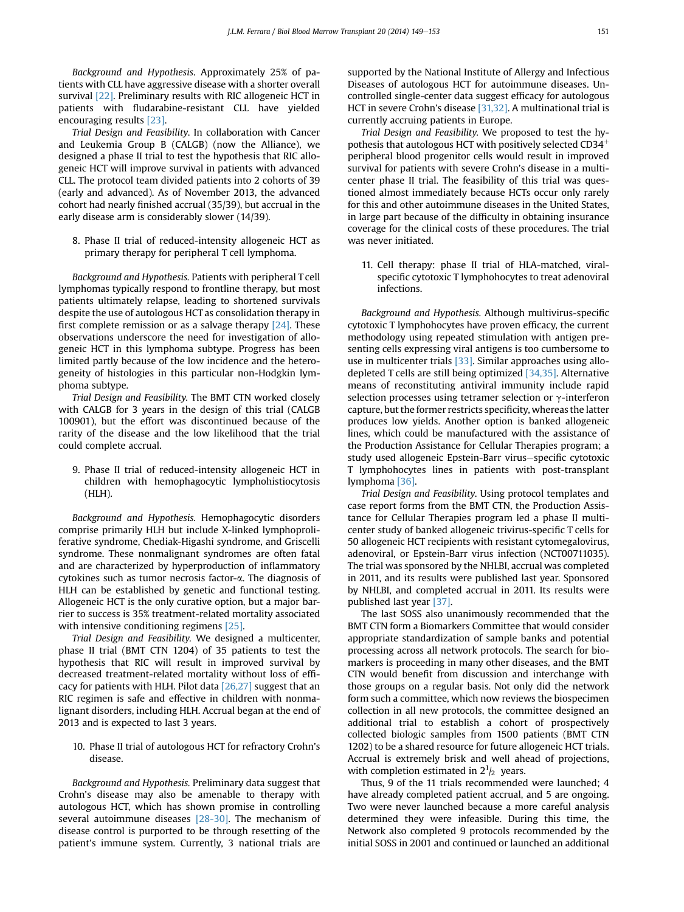Background and Hypothesis. Approximately 25% of patients with CLL have aggressive disease with a shorter overall survival [\[22\]](#page-3-0). Preliminary results with RIC allogeneic HCT in patients with fludarabine-resistant CLL have yielded encouraging results [\[23\].](#page-3-0)

Trial Design and Feasibility. In collaboration with Cancer and Leukemia Group B (CALGB) (now the Alliance), we designed a phase II trial to test the hypothesis that RIC allogeneic HCT will improve survival in patients with advanced CLL. The protocol team divided patients into 2 cohorts of 39 (early and advanced). As of November 2013, the advanced cohort had nearly finished accrual (35/39), but accrual in the early disease arm is considerably slower (14/39).

8. Phase II trial of reduced-intensity allogeneic HCT as primary therapy for peripheral T cell lymphoma.

Background and Hypothesis. Patients with peripheral T cell lymphomas typically respond to frontline therapy, but most patients ultimately relapse, leading to shortened survivals despite the use of autologous HCT as consolidation therapy in first complete remission or as a salvage therapy  $[24]$ . These observations underscore the need for investigation of allogeneic HCT in this lymphoma subtype. Progress has been limited partly because of the low incidence and the heterogeneity of histologies in this particular non-Hodgkin lymphoma subtype.

Trial Design and Feasibility. The BMT CTN worked closely with CALGB for 3 years in the design of this trial (CALGB 100901), but the effort was discontinued because of the rarity of the disease and the low likelihood that the trial could complete accrual.

9. Phase II trial of reduced-intensity allogeneic HCT in children with hemophagocytic lymphohistiocytosis (HLH).

Background and Hypothesis. Hemophagocytic disorders comprise primarily HLH but include X-linked lymphoproliferative syndrome, Chediak-Higashi syndrome, and Griscelli syndrome. These nonmalignant syndromes are often fatal and are characterized by hyperproduction of inflammatory cytokines such as tumor necrosis factor-a. The diagnosis of HLH can be established by genetic and functional testing. Allogeneic HCT is the only curative option, but a major barrier to success is 35% treatment-related mortality associated with intensive conditioning regimens [\[25\].](#page-3-0)

Trial Design and Feasibility. We designed a multicenter, phase II trial (BMT CTN 1204) of 35 patients to test the hypothesis that RIC will result in improved survival by decreased treatment-related mortality without loss of efficacy for patients with HLH. Pilot data [\[26,27\]](#page-3-0) suggest that an RIC regimen is safe and effective in children with nonmalignant disorders, including HLH. Accrual began at the end of 2013 and is expected to last 3 years.

10. Phase II trial of autologous HCT for refractory Crohn's disease.

Background and Hypothesis. Preliminary data suggest that Crohn's disease may also be amenable to therapy with autologous HCT, which has shown promise in controlling several autoimmune diseases [\[28-30\]](#page-3-0). The mechanism of disease control is purported to be through resetting of the patient's immune system. Currently, 3 national trials are supported by the National Institute of Allergy and Infectious Diseases of autologous HCT for autoimmune diseases. Uncontrolled single-center data suggest efficacy for autologous HCT in severe Crohn's disease [\[31,32\].](#page-3-0) A multinational trial is currently accruing patients in Europe.

Trial Design and Feasibility. We proposed to test the hypothesis that autologous HCT with positively selected  $CD34<sup>+</sup>$ peripheral blood progenitor cells would result in improved survival for patients with severe Crohn's disease in a multicenter phase II trial. The feasibility of this trial was questioned almost immediately because HCTs occur only rarely for this and other autoimmune diseases in the United States, in large part because of the difficulty in obtaining insurance coverage for the clinical costs of these procedures. The trial was never initiated.

11. Cell therapy: phase II trial of HLA-matched, viralspecific cytotoxic T lymphohocytes to treat adenoviral infections.

Background and Hypothesis. Although multivirus-specific cytotoxic T lymphohocytes have proven efficacy, the current methodology using repeated stimulation with antigen presenting cells expressing viral antigens is too cumbersome to use in multicenter trials [\[33\]](#page-3-0). Similar approaches using allodepleted T cells are still being optimized [\[34,35\]](#page-4-0). Alternative means of reconstituting antiviral immunity include rapid selection processes using tetramer selection or  $\gamma$ -interferon capture, but the former restricts specificity, whereas the latter produces low yields. Another option is banked allogeneic lines, which could be manufactured with the assistance of the Production Assistance for Cellular Therapies program; a study used allogeneic Epstein-Barr virus-specific cytotoxic T lymphohocytes lines in patients with post-transplant lymphoma [\[36\]](#page-4-0).

Trial Design and Feasibility. Using protocol templates and case report forms from the BMT CTN, the Production Assistance for Cellular Therapies program led a phase II multicenter study of banked allogeneic trivirus-specific T cells for 50 allogeneic HCT recipients with resistant cytomegalovirus, adenoviral, or Epstein-Barr virus infection (NCT00711035). The trial was sponsored by the NHLBI, accrual was completed in 2011, and its results were published last year. Sponsored by NHLBI, and completed accrual in 2011. Its results were published last year [\[37\]](#page-4-0).

The last SOSS also unanimously recommended that the BMT CTN form a Biomarkers Committee that would consider appropriate standardization of sample banks and potential processing across all network protocols. The search for biomarkers is proceeding in many other diseases, and the BMT CTN would benefit from discussion and interchange with those groups on a regular basis. Not only did the network form such a committee, which now reviews the biospecimen collection in all new protocols, the committee designed an additional trial to establish a cohort of prospectively collected biologic samples from 1500 patients (BMT CTN 1202) to be a shared resource for future allogeneic HCT trials. Accrual is extremely brisk and well ahead of projections, with completion estimated in  $2^1\!/_2\,$  years.

Thus, 9 of the 11 trials recommended were launched; 4 have already completed patient accrual, and 5 are ongoing. Two were never launched because a more careful analysis determined they were infeasible. During this time, the Network also completed 9 protocols recommended by the initial SOSS in 2001 and continued or launched an additional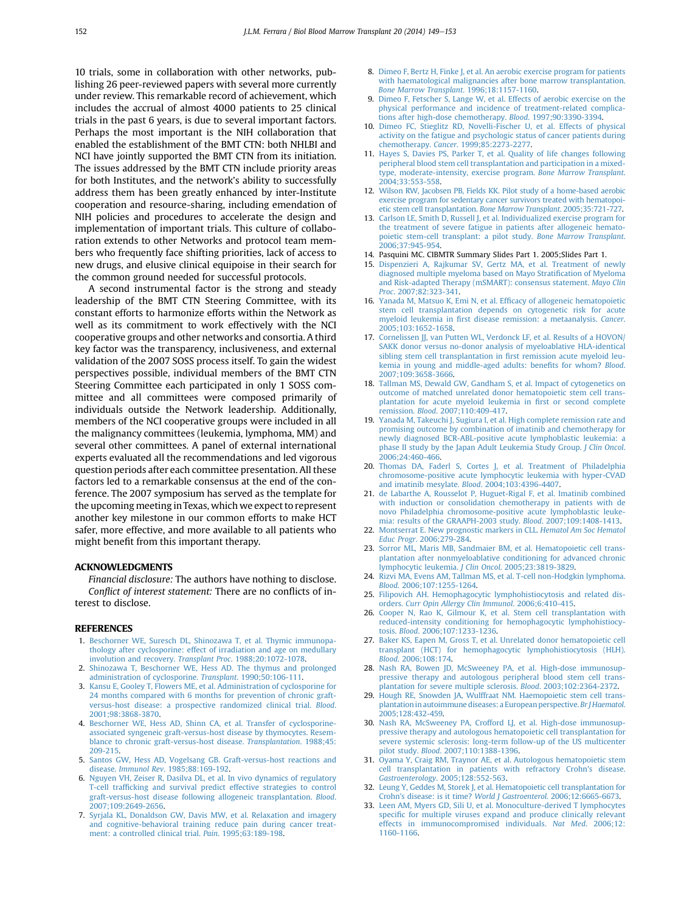<span id="page-3-0"></span>10 trials, some in collaboration with other networks, publishing 26 peer-reviewed papers with several more currently under review. This remarkable record of achievement, which includes the accrual of almost 4000 patients to 25 clinical trials in the past 6 years, is due to several important factors. Perhaps the most important is the NIH collaboration that enabled the establishment of the BMT CTN: both NHLBI and NCI have jointly supported the BMT CTN from its initiation. The issues addressed by the BMT CTN include priority areas for both Institutes, and the network's ability to successfully address them has been greatly enhanced by inter-Institute cooperation and resource-sharing, including emendation of NIH policies and procedures to accelerate the design and implementation of important trials. This culture of collaboration extends to other Networks and protocol team members who frequently face shifting priorities, lack of access to new drugs, and elusive clinical equipoise in their search for the common ground needed for successful protocols.

A second instrumental factor is the strong and steady leadership of the BMT CTN Steering Committee, with its constant efforts to harmonize efforts within the Network as well as its commitment to work effectively with the NCI cooperative groups and other networks and consortia. A third key factor was the transparency, inclusiveness, and external validation of the 2007 SOSS process itself. To gain the widest perspectives possible, individual members of the BMT CTN Steering Committee each participated in only 1 SOSS committee and all committees were composed primarily of individuals outside the Network leadership. Additionally, members of the NCI cooperative groups were included in all the malignancy committees (leukemia, lymphoma, MM) and several other committees. A panel of external international experts evaluated all the recommendations and led vigorous question periods after each committee presentation. All these factors led to a remarkable consensus at the end of the conference. The 2007 symposium has served as the template for the upcoming meeting in Texas, which we expect to represent another key milestone in our common efforts to make HCT safer, more effective, and more available to all patients who might benefit from this important therapy.

### ACKNOWLEDGMENTS

Financial disclosure: The authors have nothing to disclose. Conflict of interest statement: There are no conflicts of interest to disclose.

#### REFERENCES

- 1. [Beschorner WE, Suresch DL, Shinozawa T, et al. Thymic immunopa](http://refhub.elsevier.com/S1083-8791(13)00525-9/sref1)[thology after cyclosporine: effect of irradiation and age on medullary](http://refhub.elsevier.com/S1083-8791(13)00525-9/sref1) [involution and recovery.](http://refhub.elsevier.com/S1083-8791(13)00525-9/sref1) Transplant Proc. 1988;20:1072-1078.
- 2. [Shinozawa T, Beschorner WE, Hess AD. The thymus and prolonged](http://refhub.elsevier.com/S1083-8791(13)00525-9/sref2) [administration of cyclosporine.](http://refhub.elsevier.com/S1083-8791(13)00525-9/sref2) Transplant. 1990;50:106-111.
- 3. [Kansu E, Gooley T, Flowers ME, et al. Administration of cyclosporine for](http://refhub.elsevier.com/S1083-8791(13)00525-9/sref3) [24 months compared with 6 months for prevention of chronic graft](http://refhub.elsevier.com/S1083-8791(13)00525-9/sref3)[versus-host disease: a prospective randomized clinical trial.](http://refhub.elsevier.com/S1083-8791(13)00525-9/sref3) Blood. [2001;98:3868-3870](http://refhub.elsevier.com/S1083-8791(13)00525-9/sref3).
- 4. [Beschorner WE, Hess AD, Shinn CA, et al. Transfer of cyclosporine](http://refhub.elsevier.com/S1083-8791(13)00525-9/sref4)[associated syngeneic graft-versus-host disease by thymocytes. Resem](http://refhub.elsevier.com/S1083-8791(13)00525-9/sref4)[blance to chronic graft-versus-host disease.](http://refhub.elsevier.com/S1083-8791(13)00525-9/sref4) Transplantation. 1988;45: [209-215](http://refhub.elsevier.com/S1083-8791(13)00525-9/sref4).
- 5. [Santos GW, Hess AD, Vogelsang GB. Graft-versus-host reactions and](http://refhub.elsevier.com/S1083-8791(13)00525-9/sref5) disease. Immunol Rev[. 1985;88:169-192.](http://refhub.elsevier.com/S1083-8791(13)00525-9/sref5)
- 6. [Nguyen VH, Zeiser R, Dasilva DL, et al. In vivo dynamics of regulatory](http://refhub.elsevier.com/S1083-8791(13)00525-9/sref6) T-cell traffi[cking and survival predict effective strategies to control](http://refhub.elsevier.com/S1083-8791(13)00525-9/sref6) [graft-versus-host disease following allogeneic transplantation.](http://refhub.elsevier.com/S1083-8791(13)00525-9/sref6) Blood. [2007;109:2649-2656.](http://refhub.elsevier.com/S1083-8791(13)00525-9/sref6)
- 7. [Syrjala KL, Donaldson GW, Davis MW, et al. Relaxation and imagery](http://refhub.elsevier.com/S1083-8791(13)00525-9/sref7) [and cognitive-behavioral training reduce pain during cancer treat](http://refhub.elsevier.com/S1083-8791(13)00525-9/sref7)[ment: a controlled clinical trial.](http://refhub.elsevier.com/S1083-8791(13)00525-9/sref7) Pain. 1995;63:189-198.
- 8. [Dimeo F, Bertz H, Finke J, et al. An aerobic exercise program for patients](http://refhub.elsevier.com/S1083-8791(13)00525-9/sref8) [with haematological malignancies after bone marrow transplantation.](http://refhub.elsevier.com/S1083-8791(13)00525-9/sref8) [Bone Marrow Transplant](http://refhub.elsevier.com/S1083-8791(13)00525-9/sref8). 1996;18:1157-1160.
- 9. [Dimeo F, Fetscher S, Lange W, et al. Effects of aerobic exercise on the](http://refhub.elsevier.com/S1083-8791(13)00525-9/sref9) [physical performance and incidence of treatment-related complica](http://refhub.elsevier.com/S1083-8791(13)00525-9/sref9)[tions after high-dose chemotherapy.](http://refhub.elsevier.com/S1083-8791(13)00525-9/sref9) Blood. 1997;90:3390-3394.
- 10. [Dimeo FC, Stieglitz RD, Novelli-Fischer U, et al. Effects of physical](http://refhub.elsevier.com/S1083-8791(13)00525-9/sref10) [activity on the fatigue and psychologic status of cancer patients during](http://refhub.elsevier.com/S1083-8791(13)00525-9/sref10) chemotherapy. Cancer[. 1999;85:2273-2277.](http://refhub.elsevier.com/S1083-8791(13)00525-9/sref10)
- 11. [Hayes S, Davies PS, Parker T, et al. Quality of life changes following](http://refhub.elsevier.com/S1083-8791(13)00525-9/sref11) [peripheral blood stem cell transplantation and participation in a mixed](http://refhub.elsevier.com/S1083-8791(13)00525-9/sref11)[type, moderate-intensity, exercise program.](http://refhub.elsevier.com/S1083-8791(13)00525-9/sref11) Bone Marrow Transplant. [2004;33:553-558.](http://refhub.elsevier.com/S1083-8791(13)00525-9/sref11)
- 12. [Wilson RW, Jacobsen PB, Fields KK. Pilot study of a home-based aerobic](http://refhub.elsevier.com/S1083-8791(13)00525-9/sref12) [exercise program for sedentary cancer survivors treated with hematopoi](http://refhub.elsevier.com/S1083-8791(13)00525-9/sref12)[etic stem cell transplantation.](http://refhub.elsevier.com/S1083-8791(13)00525-9/sref12) Bone Marrow Transplant. 2005;35:721-727.
- 13. [Carlson LE, Smith D, Russell J, et al. Individualized exercise program for](http://refhub.elsevier.com/S1083-8791(13)00525-9/sref13) [the treatment of severe fatigue in patients after allogeneic hemato](http://refhub.elsevier.com/S1083-8791(13)00525-9/sref13)[poietic stem-cell transplant: a pilot study.](http://refhub.elsevier.com/S1083-8791(13)00525-9/sref13) Bone Marrow Transplant. [2006;37:945-954.](http://refhub.elsevier.com/S1083-8791(13)00525-9/sref13)
- 14. Pasquini MC. CIBMTR Summary Slides Part 1. 2005;Slides Part 1.
- 15. [Dispenzieri A, Rajkumar SV, Gertz MA, et al. Treatment of newly](http://refhub.elsevier.com/S1083-8791(13)00525-9/sref14) [diagnosed multiple myeloma based on Mayo Strati](http://refhub.elsevier.com/S1083-8791(13)00525-9/sref14)fication of Myeloma [and Risk-adapted Therapy \(mSMART\): consensus statement.](http://refhub.elsevier.com/S1083-8791(13)00525-9/sref14) Mayo Clin Proc[. 2007;82:323-341](http://refhub.elsevier.com/S1083-8791(13)00525-9/sref14).
- 16. [Yanada M, Matsuo K, Emi N, et al. Ef](http://refhub.elsevier.com/S1083-8791(13)00525-9/sref15)ficacy of allogeneic hematopoietic [stem cell transplantation depends on cytogenetic risk for acute](http://refhub.elsevier.com/S1083-8791(13)00525-9/sref15) myeloid leukemia in fi[rst disease remission: a metaanalysis.](http://refhub.elsevier.com/S1083-8791(13)00525-9/sref15) Cancer. [2005;103:1652-1658](http://refhub.elsevier.com/S1083-8791(13)00525-9/sref15).
- 17. [Cornelissen JJ, van Putten WL, Verdonck LF, et al. Results of a HOVON/](http://refhub.elsevier.com/S1083-8791(13)00525-9/sref16) [SAKK donor versus no-donor analysis of myeloablative HLA-identical](http://refhub.elsevier.com/S1083-8791(13)00525-9/sref16) [sibling stem cell transplantation in](http://refhub.elsevier.com/S1083-8791(13)00525-9/sref16) first remission acute myeloid leu[kemia in young and middle-aged adults: bene](http://refhub.elsevier.com/S1083-8791(13)00525-9/sref16)fits for whom? Blood. [2007;109:3658-3666](http://refhub.elsevier.com/S1083-8791(13)00525-9/sref16).
- 18. [Tallman MS, Dewald GW, Gandham S, et al. Impact of cytogenetics on](http://refhub.elsevier.com/S1083-8791(13)00525-9/sref17) [outcome of matched unrelated donor hematopoietic stem cell trans](http://refhub.elsevier.com/S1083-8791(13)00525-9/sref17)[plantation for acute myeloid leukemia in](http://refhub.elsevier.com/S1083-8791(13)00525-9/sref17) first or second complete remission. Blood[. 2007;110:409-417](http://refhub.elsevier.com/S1083-8791(13)00525-9/sref17).
- 19. [Yanada M, Takeuchi J, Sugiura I, et al. High complete remission rate and](http://refhub.elsevier.com/S1083-8791(13)00525-9/sref18) [promising outcome by combination of imatinib and chemotherapy for](http://refhub.elsevier.com/S1083-8791(13)00525-9/sref18) [newly diagnosed BCR-ABL-positive acute lymphoblastic leukemia: a](http://refhub.elsevier.com/S1083-8791(13)00525-9/sref18) [phase II study by the Japan Adult Leukemia Study Group.](http://refhub.elsevier.com/S1083-8791(13)00525-9/sref18) J Clin Oncol. [2006;24:460-466.](http://refhub.elsevier.com/S1083-8791(13)00525-9/sref18)
- 20. [Thomas DA, Faderl S, Cortes J, et al. Treatment of Philadelphia](http://refhub.elsevier.com/S1083-8791(13)00525-9/sref19) [chromosome-positive acute lymphocytic leukemia with hyper-CVAD](http://refhub.elsevier.com/S1083-8791(13)00525-9/sref19) [and imatinib mesylate.](http://refhub.elsevier.com/S1083-8791(13)00525-9/sref19) Blood. 2004;103:4396-4407.
- 21. [de Labarthe A, Rousselot P, Huguet-Rigal F, et al. Imatinib combined](http://refhub.elsevier.com/S1083-8791(13)00525-9/sref20) [with induction or consolidation chemotherapy in patients with de](http://refhub.elsevier.com/S1083-8791(13)00525-9/sref20) [novo Philadelphia chromosome-positive acute lymphoblastic leuke](http://refhub.elsevier.com/S1083-8791(13)00525-9/sref20)[mia: results of the GRAAPH-2003 study.](http://refhub.elsevier.com/S1083-8791(13)00525-9/sref20) Blood. 2007;109:1408-1413.
- 22. [Montserrat E. New prognostic markers in CLL.](http://refhub.elsevier.com/S1083-8791(13)00525-9/sref21) Hematol Am Soc Hematol Educ Progr[. 2006;279-284.](http://refhub.elsevier.com/S1083-8791(13)00525-9/sref21)
- 23. [Sorror ML, Maris MB, Sandmaier BM, et al. Hematopoietic cell trans](http://refhub.elsevier.com/S1083-8791(13)00525-9/sref22)[plantation after nonmyeloablative conditioning for advanced chronic](http://refhub.elsevier.com/S1083-8791(13)00525-9/sref22) [lymphocytic leukemia.](http://refhub.elsevier.com/S1083-8791(13)00525-9/sref22) J Clin Oncol. 2005;23:3819-3829.
- 24. [Rizvi MA, Evens AM, Tallman MS, et al. T-cell non-Hodgkin lymphoma.](http://refhub.elsevier.com/S1083-8791(13)00525-9/sref23) Blood[. 2006;107:1255-1264](http://refhub.elsevier.com/S1083-8791(13)00525-9/sref23).
- 25. [Filipovich AH. Hemophagocytic lymphohistiocytosis and related dis](http://refhub.elsevier.com/S1083-8791(13)00525-9/sref24)orders. [Curr Opin Allergy Clin Immunol](http://refhub.elsevier.com/S1083-8791(13)00525-9/sref24). 2006;6:410-415.
- 26. [Cooper N, Rao K, Gilmour K, et al. Stem cell transplantation with](http://refhub.elsevier.com/S1083-8791(13)00525-9/sref25) [reduced-intensity conditioning for hemophagocytic lymphohistiocy](http://refhub.elsevier.com/S1083-8791(13)00525-9/sref25)tosis. Blood[. 2006;107:1233-1236.](http://refhub.elsevier.com/S1083-8791(13)00525-9/sref25)
- 27. [Baker KS, Eapen M, Gross T, et al. Unrelated donor hematopoietic cell](http://refhub.elsevier.com/S1083-8791(13)00525-9/sref26) [transplant \(HCT\) for hemophagocytic lymphohistiocytosis \(HLH\).](http://refhub.elsevier.com/S1083-8791(13)00525-9/sref26) Blood[. 2006;108:174.](http://refhub.elsevier.com/S1083-8791(13)00525-9/sref26)
- 28. [Nash RA, Bowen JD, McSweeney PA, et al. High-dose immunosup](http://refhub.elsevier.com/S1083-8791(13)00525-9/sref27)[pressive therapy and autologous peripheral blood stem cell trans](http://refhub.elsevier.com/S1083-8791(13)00525-9/sref27)[plantation for severe multiple sclerosis.](http://refhub.elsevier.com/S1083-8791(13)00525-9/sref27) Blood. 2003;102:2364-2372.
- 29. [Hough RE, Snowden JA, Wulffraat NM. Haemopoietic stem cell trans](http://refhub.elsevier.com/S1083-8791(13)00525-9/sref28)plantation in autoimmune diseases: a European perspective. Br J Haematol. [2005;128:432-459](http://refhub.elsevier.com/S1083-8791(13)00525-9/sref28).
- 30. [Nash RA, McSweeney PA, Crofford LJ, et al. High-dose immunosup](http://refhub.elsevier.com/S1083-8791(13)00525-9/sref29)[pressive therapy and autologous hematopoietic cell transplantation for](http://refhub.elsevier.com/S1083-8791(13)00525-9/sref29) [severe systemic sclerosis: long-term follow-up of the US multicenter](http://refhub.elsevier.com/S1083-8791(13)00525-9/sref29) pilot study. Blood[. 2007;110:1388-1396](http://refhub.elsevier.com/S1083-8791(13)00525-9/sref29).
- 31. [Oyama Y, Craig RM, Traynor AE, et al. Autologous hematopoietic stem](http://refhub.elsevier.com/S1083-8791(13)00525-9/sref30) [cell transplantation in patients with refractory Crohn](http://refhub.elsevier.com/S1083-8791(13)00525-9/sref30)'s disease. Gastroenterology[. 2005;128:552-563](http://refhub.elsevier.com/S1083-8791(13)00525-9/sref30).
- 32. [Leung Y, Geddes M, Storek J, et al. Hematopoietic cell transplantation for](http://refhub.elsevier.com/S1083-8791(13)00525-9/sref31) Crohn's disease: is it time? World J Gastroenterol[. 2006;12:6665-6673.](http://refhub.elsevier.com/S1083-8791(13)00525-9/sref31)
- 33. [Leen AM, Myers GD, Sili U, et al. Monoculture-derived T lymphocytes](http://refhub.elsevier.com/S1083-8791(13)00525-9/sref32) specifi[c for multiple viruses expand and produce clinically relevant](http://refhub.elsevier.com/S1083-8791(13)00525-9/sref32) [effects in immunocompromised individuals.](http://refhub.elsevier.com/S1083-8791(13)00525-9/sref32) Nat Med. 2006;12: [1160-1166.](http://refhub.elsevier.com/S1083-8791(13)00525-9/sref32)